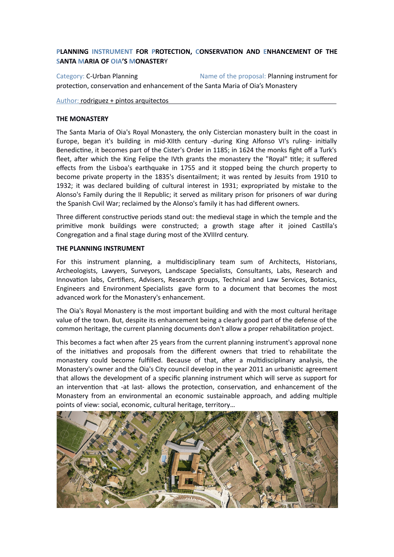# **PLANNING INSTRUMENT FOR PROTECTION, CONSERVATION AND ENHANCEMENT OF THE SANTA MARIA OF OIA'S MONASTER**Y

Category: C-Urban Planning **Name of the proposal: Planning instrument for** protection, conservation and enhancement of the Santa Maria of Oia's Monastery

Author: rodriguez + pintos arquitectos

#### **THE MONASTERY**

The Santa Maria of Oia's Royal Monastery, the only Cistercian monastery built in the coast in Europe, began it's building in mid-XIIth century -during King Alfonso VI's ruling- initially Benedictine, it becomes part of the Cister's Order in 1185; in 1624 the monks fight off a Turk's fleet, after which the King Felipe the IVth grants the monastery the "Royal" title; it suffered effects from the Lisboa's earthquake in 1755 and it stopped being the church property to become private property in the 1835's disentailment; it was rented by Jesuits from 1910 to 1932; it was declared building of cultural interest in 1931; expropriated by mistake to the Alonso's Family during the II Republic; it served as military prison for prisoners of war during the Spanish Civil War; reclaimed by the Alonso's family it has had different owners.

Three different constructive periods stand out: the medieval stage in which the temple and the primitive monk buildings were constructed; a growth stage after it joined Castilla's Congregation and a final stage during most of the XVIIIrd century.

#### **THE PLANNING INSTRUMENT**

For this instrument planning, a multidisciplinary team sum of Architects, Historians, Archeologists, Lawyers, Surveyors, Landscape Specialists, Consultants, Labs, Research and Innovation labs, Certifiers, Advisers, Research groups, Technical and Law Services, Botanics, Engineers and Environment Specialists gave form to a document that becomes the most advanced work for the Monastery's enhancement.

The Oia's Royal Monastery is the most important building and with the most cultural heritage value of the town. But, despite its enhancement being a clearly good part of the defense of the common heritage, the current planning documents don't allow a proper rehabilitation project.

This becomes a fact when after 25 years from the current planning instrument's approval none of the initiatives and proposals from the different owners that tried to rehabilitate the monastery could become fulfilled. Because of that, after a multidisciplinary analysis, the Monastery's owner and the Oia's City council develop in the year 2011 an urbanistic agreement that allows the development of a specific planning instrument which will serve as support for an intervention that -at last- allows the protection, conservation, and enhancement of the Monastery from an environmental an economic sustainable approach, and adding multiple points of view: social, economic, cultural heritage, territory…

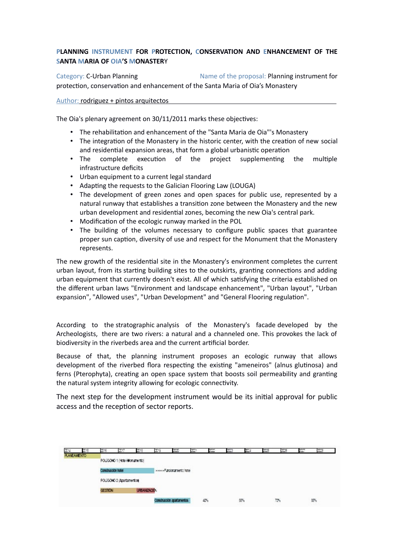# **PLANNING INSTRUMENT FOR PROTECTION, CONSERVATION AND ENHANCEMENT OF THE SANTA MARIA OF OIA'S MONASTER**Y

Category: C-Urban Planning **Name of the proposal: Planning instrument for** protection, conservation and enhancement of the Santa Maria of Oia's Monastery

Author: rodriguez + pintos arquitectos

The Oia's plenary agreement on 30/11/2011 marks these objectives:

- The rehabilitation and enhancement of the "Santa Maria de Oia"'s Monastery
- The integration of the Monastery in the historic center, with the creation of new social and residential expansion areas, that form a global urbanistic operation
- The complete execution of the project supplementing the multiple infrastructure deficits
- Urban equipment to a current legal standard
- Adapting the requests to the Galician Flooring Law (LOUGA)
- The development of green zones and open spaces for public use, represented by a natural runway that establishes a transition zone between the Monastery and the new urban development and residential zones, becoming the new Oia's central park.
- Modification of the ecologic runway marked in the POL
- The building of the volumes necessary to configure public spaces that guarantee proper sun caption, diversity of use and respect for the Monument that the Monastery represents.

The new growth of the residential site in the Monastery's environment completes the current urban layout, from its starting building sites to the outskirts, granting connections and adding urban equipment that currently doesn't exist. All of which satisfying the criteria established on the different urban laws "Environment and landscape enhancement", "Urban layout", "Urban expansion", "Allowed uses", "Urban Development" and "General Flooring regulation".

According to the stratographic analysis of the Monastery's facade developed by the Archeologists, there are two rivers: a natural and a channeled one. This provokes the lack of biodiversity in the riverbeds area and the current artificial border.

Because of that, the planning instrument proposes an ecologic runway that allows development of the riverbed flora respecting the existing "ameneiros" (alnus glutinosa) and ferns (Pterophyta), creating an open space system that boosts soil permeability and granting the natural system integrity allowing for ecologic connectivity.

The next step for the development instrument would be its initial approval for public access and the reception of sector reports.

| 3014               | 2015 | 2016                                            | 2017 | 2016          | 3019 | mm                        | š | <b>COLOR</b> | 2023 | m. | XVS | me  | <b>COL</b> | 2028 |
|--------------------|------|-------------------------------------------------|------|---------------|------|---------------------------|---|--------------|------|----|-----|-----|------------|------|
| <b>PLANEAMENTO</b> |      | POLICONO 1 (Hotel-Monumento)                    |      |               |      |                           |   |              |      |    |     |     |            |      |
|                    |      | Construcción hotel<br>POLICONO 2 (Apartamentos) |      |               |      | >>>>>Funcionamiento hotel |   |              |      |    |     |     |            |      |
|                    |      |                                                 |      |               |      |                           |   |              |      |    |     |     |            |      |
|                    |      | <b>GESTION</b>                                  |      | URBANIZACIÓN. |      |                           |   |              |      |    |     |     |            |      |
|                    |      |                                                 |      |               |      | Construcción apartamentos |   | 40%          |      | 5% |     | 70% |            | 85%  |